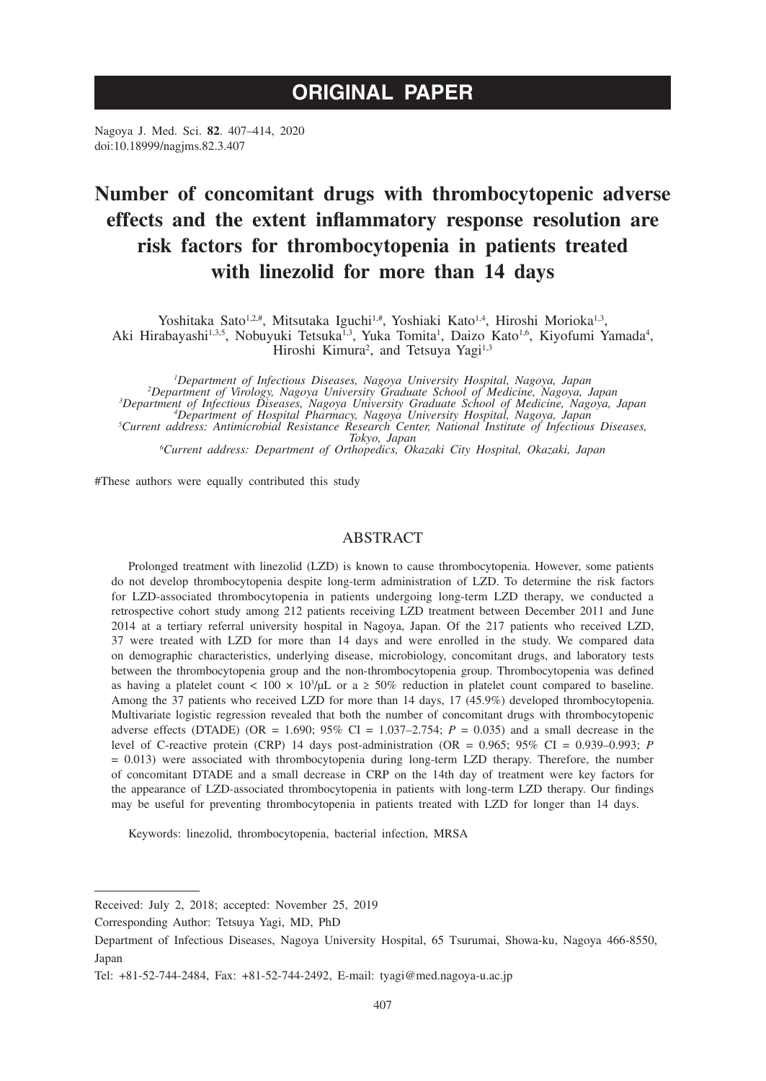# **ORIGINAL PAPER**

Nagoya J. Med. Sci. **82**. 407–414, 2020 doi:10.18999/nagjms.82.3.407

# **Number of concomitant drugs with thrombocytopenic adverse effects and the extent inflammatory response resolution are risk factors for thrombocytopenia in patients treated with linezolid for more than 14 days**

Yoshitaka Sato<sup>1,2,#</sup>, Mitsutaka Iguchi<sup>1,#</sup>, Yoshiaki Kato<sup>1,4</sup>, Hiroshi Morioka<sup>1,3</sup>, Aki Hirabayashi<sup>1,3,5</sup>, Nobuyuki Tetsuka<sup>1,3</sup>, Yuka Tomita<sup>1</sup>, Daizo Kato<sup>1,6</sup>, Kiyofumi Yamada<sup>4</sup>, Hiroshi Kimura<sup>2</sup>, and Tetsuya Yagi<sup>1,3</sup>

*1 Department of Infectious Diseases, Nagoya University Hospital, Nagoya, Japan <sup>2</sup> Department of Virology, Nagoya University Graduate School of Medicine, Nagoya, Japan <sup>3</sup>* <sup>3</sup>Department of Infectious Diseases, Nagoya University Graduate School of Medicine, Nagoya, Japan<br><sup>4</sup>Department of Hospital Pharmacy, Nagoya University Hospital, Nagoya, Japan<br><sup>5</sup>Current address: Antimicrobial Resistance *Tokyo, Japan <sup>6</sup> Current address: Department of Orthopedics, Okazaki City Hospital, Okazaki, Japan*

#These authors were equally contributed this study

# ABSTRACT

Prolonged treatment with linezolid (LZD) is known to cause thrombocytopenia. However, some patients do not develop thrombocytopenia despite long-term administration of LZD. To determine the risk factors for LZD-associated thrombocytopenia in patients undergoing long-term LZD therapy, we conducted a retrospective cohort study among 212 patients receiving LZD treatment between December 2011 and June 2014 at a tertiary referral university hospital in Nagoya, Japan. Of the 217 patients who received LZD, 37 were treated with LZD for more than 14 days and were enrolled in the study. We compared data on demographic characteristics, underlying disease, microbiology, concomitant drugs, and laboratory tests between the thrombocytopenia group and the non-thrombocytopenia group. Thrombocytopenia was defined as having a platelet count  $\langle 100 \times 10^3/\mu L \rangle$  or a  $\geq 50\%$  reduction in platelet count compared to baseline. Among the 37 patients who received LZD for more than 14 days, 17 (45.9%) developed thrombocytopenia. Multivariate logistic regression revealed that both the number of concomitant drugs with thrombocytopenic adverse effects (DTADE) (OR = 1.690;  $95\%$  CI = 1.037–2.754;  $P = 0.035$ ) and a small decrease in the level of C-reactive protein (CRP) 14 days post-administration (OR = 0.965; 95% CI = 0.939–0.993; *P* = 0.013) were associated with thrombocytopenia during long-term LZD therapy. Therefore, the number of concomitant DTADE and a small decrease in CRP on the 14th day of treatment were key factors for the appearance of LZD-associated thrombocytopenia in patients with long-term LZD therapy. Our findings may be useful for preventing thrombocytopenia in patients treated with LZD for longer than 14 days.

Keywords: linezolid, thrombocytopenia, bacterial infection, MRSA

Received: July 2, 2018; accepted: November 25, 2019

Corresponding Author: Tetsuya Yagi, MD, PhD

Department of Infectious Diseases, Nagoya University Hospital, 65 Tsurumai, Showa-ku, Nagoya 466-8550, Japan

Tel: +81-52-744-2484, Fax: +81-52-744-2492, E-mail: tyagi@med.nagoya-u.ac.jp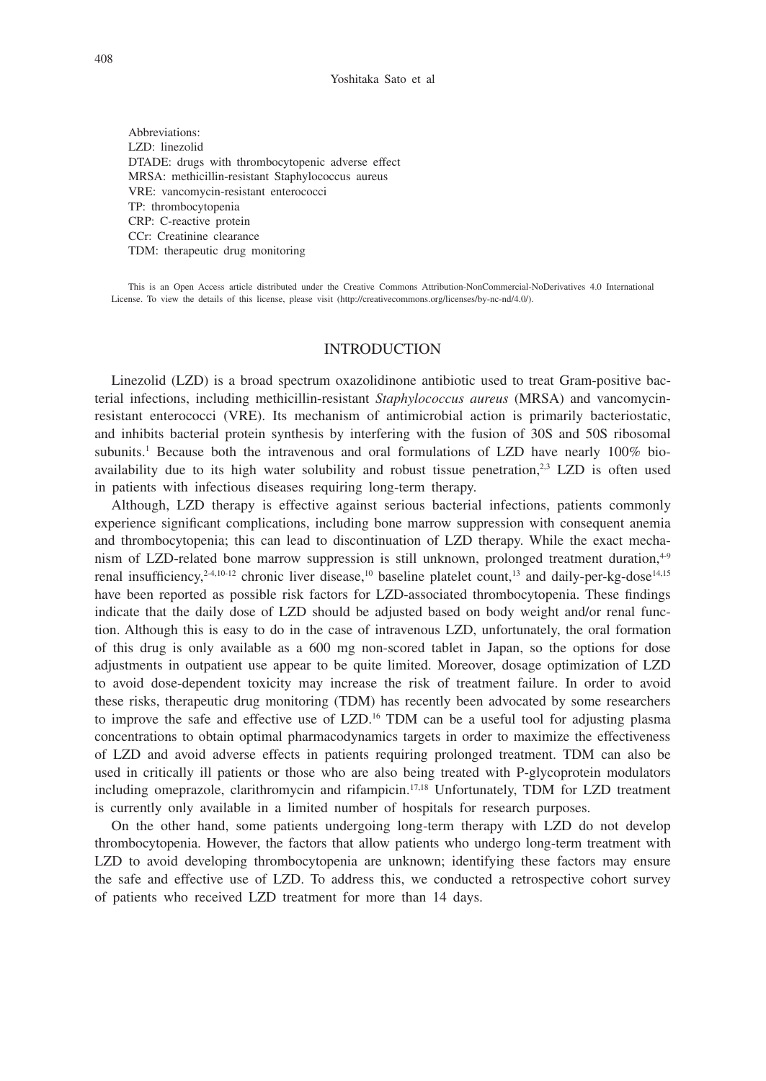Abbreviations: LZD: linezolid DTADE: drugs with thrombocytopenic adverse effect MRSA: methicillin-resistant Staphylococcus aureus VRE: vancomycin-resistant enterococci TP: thrombocytopenia CRP: C-reactive protein CCr: Creatinine clearance TDM: therapeutic drug monitoring

This is an Open Access article distributed under the Creative Commons Attribution-NonCommercial-NoDerivatives 4.0 International License. To view the details of this license, please visit (http://creativecommons.org/licenses/by-nc-nd/4.0/).

## INTRODUCTION

Linezolid (LZD) is a broad spectrum oxazolidinone antibiotic used to treat Gram-positive bacterial infections, including methicillin-resistant *Staphylococcus aureus* (MRSA) and vancomycinresistant enterococci (VRE). Its mechanism of antimicrobial action is primarily bacteriostatic, and inhibits bacterial protein synthesis by interfering with the fusion of 30S and 50S ribosomal subunits.<sup>1</sup> Because both the intravenous and oral formulations of LZD have nearly 100% bioavailability due to its high water solubility and robust tissue penetration, $2.3$  LZD is often used in patients with infectious diseases requiring long-term therapy.

Although, LZD therapy is effective against serious bacterial infections, patients commonly experience significant complications, including bone marrow suppression with consequent anemia and thrombocytopenia; this can lead to discontinuation of LZD therapy. While the exact mechanism of LZD-related bone marrow suppression is still unknown, prolonged treatment duration, $4-9$ renal insufficiency,<sup>2-4,10-12</sup> chronic liver disease,<sup>10</sup> baseline platelet count,<sup>13</sup> and daily-per-kg-dose<sup>14,15</sup> have been reported as possible risk factors for LZD-associated thrombocytopenia. These findings indicate that the daily dose of LZD should be adjusted based on body weight and/or renal function. Although this is easy to do in the case of intravenous LZD, unfortunately, the oral formation of this drug is only available as a 600 mg non-scored tablet in Japan, so the options for dose adjustments in outpatient use appear to be quite limited. Moreover, dosage optimization of LZD to avoid dose-dependent toxicity may increase the risk of treatment failure. In order to avoid these risks, therapeutic drug monitoring (TDM) has recently been advocated by some researchers to improve the safe and effective use of  $LZD<sup>16</sup>$  TDM can be a useful tool for adjusting plasma concentrations to obtain optimal pharmacodynamics targets in order to maximize the effectiveness of LZD and avoid adverse effects in patients requiring prolonged treatment. TDM can also be used in critically ill patients or those who are also being treated with P-glycoprotein modulators including omeprazole, clarithromycin and rifampicin.<sup>17,18</sup> Unfortunately, TDM for LZD treatment is currently only available in a limited number of hospitals for research purposes.

On the other hand, some patients undergoing long-term therapy with LZD do not develop thrombocytopenia. However, the factors that allow patients who undergo long-term treatment with LZD to avoid developing thrombocytopenia are unknown; identifying these factors may ensure the safe and effective use of LZD. To address this, we conducted a retrospective cohort survey of patients who received LZD treatment for more than 14 days.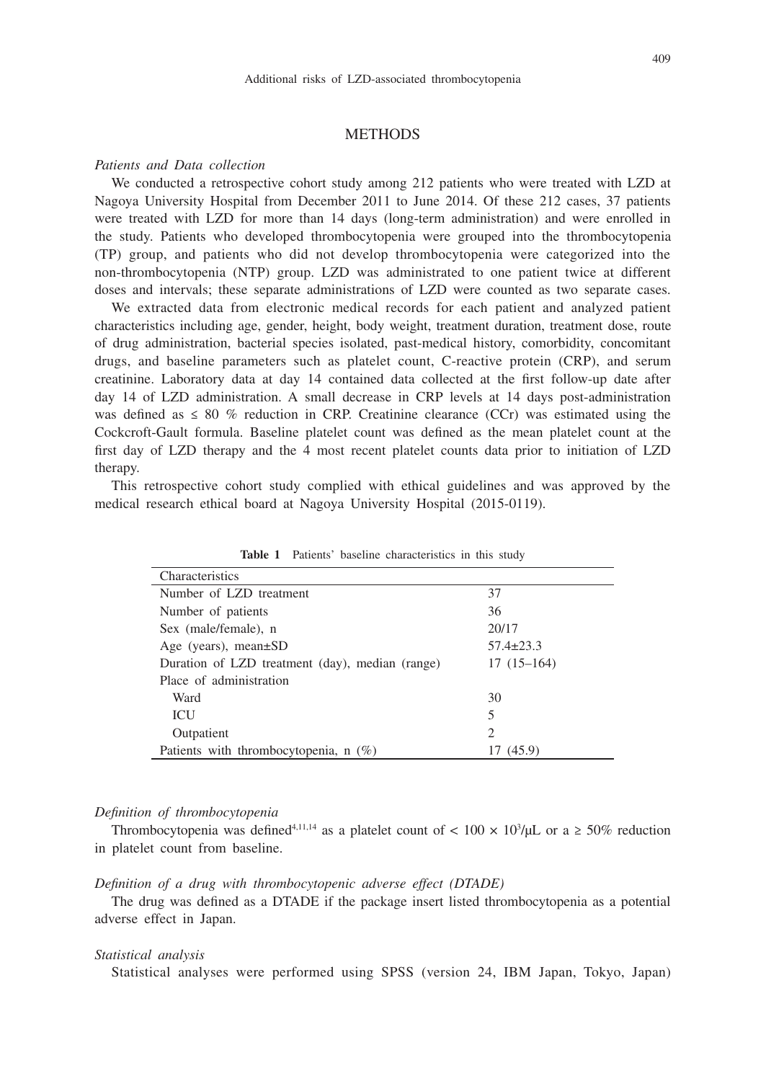# **METHODS**

#### *Patients and Data collection*

We conducted a retrospective cohort study among 212 patients who were treated with LZD at Nagoya University Hospital from December 2011 to June 2014. Of these 212 cases, 37 patients were treated with LZD for more than 14 days (long-term administration) and were enrolled in the study. Patients who developed thrombocytopenia were grouped into the thrombocytopenia (TP) group, and patients who did not develop thrombocytopenia were categorized into the non-thrombocytopenia (NTP) group. LZD was administrated to one patient twice at different doses and intervals; these separate administrations of LZD were counted as two separate cases.

We extracted data from electronic medical records for each patient and analyzed patient characteristics including age, gender, height, body weight, treatment duration, treatment dose, route of drug administration, bacterial species isolated, past-medical history, comorbidity, concomitant drugs, and baseline parameters such as platelet count, C-reactive protein (CRP), and serum creatinine. Laboratory data at day 14 contained data collected at the first follow-up date after day 14 of LZD administration. A small decrease in CRP levels at 14 days post-administration was defined as  $\leq 80\%$  reduction in CRP. Creatinine clearance (CCr) was estimated using the Cockcroft-Gault formula. Baseline platelet count was defined as the mean platelet count at the first day of LZD therapy and the 4 most recent platelet counts data prior to initiation of LZD therapy.

This retrospective cohort study complied with ethical guidelines and was approved by the medical research ethical board at Nagoya University Hospital (2015-0119).

| Characteristics                                 |                 |
|-------------------------------------------------|-----------------|
| Number of LZD treatment                         | 37              |
| Number of patients                              | 36              |
| Sex (male/female), n                            | 20/17           |
| Age (years), mean $\pm SD$                      | $57.4 \pm 23.3$ |
| Duration of LZD treatment (day), median (range) | $17(15-164)$    |
| Place of administration                         |                 |
| Ward                                            | 30              |
| <b>ICU</b>                                      | 5               |
| Outpatient                                      | $\overline{c}$  |
| Patients with thrombocytopenia, n (%)           | (45.9)          |

**Table 1** Patients' baseline characteristics in this study

#### *Definition of thrombocytopenia*

Thrombocytopenia was defined<sup>4,11,14</sup> as a platelet count of  $< 100 \times 10^3/\mu L$  or a  $\geq 50\%$  reduction in platelet count from baseline.

## *Definition of a drug with thrombocytopenic adverse effect (DTADE)*

The drug was defined as a DTADE if the package insert listed thrombocytopenia as a potential adverse effect in Japan.

#### *Statistical analysis*

Statistical analyses were performed using SPSS (version 24, IBM Japan, Tokyo, Japan)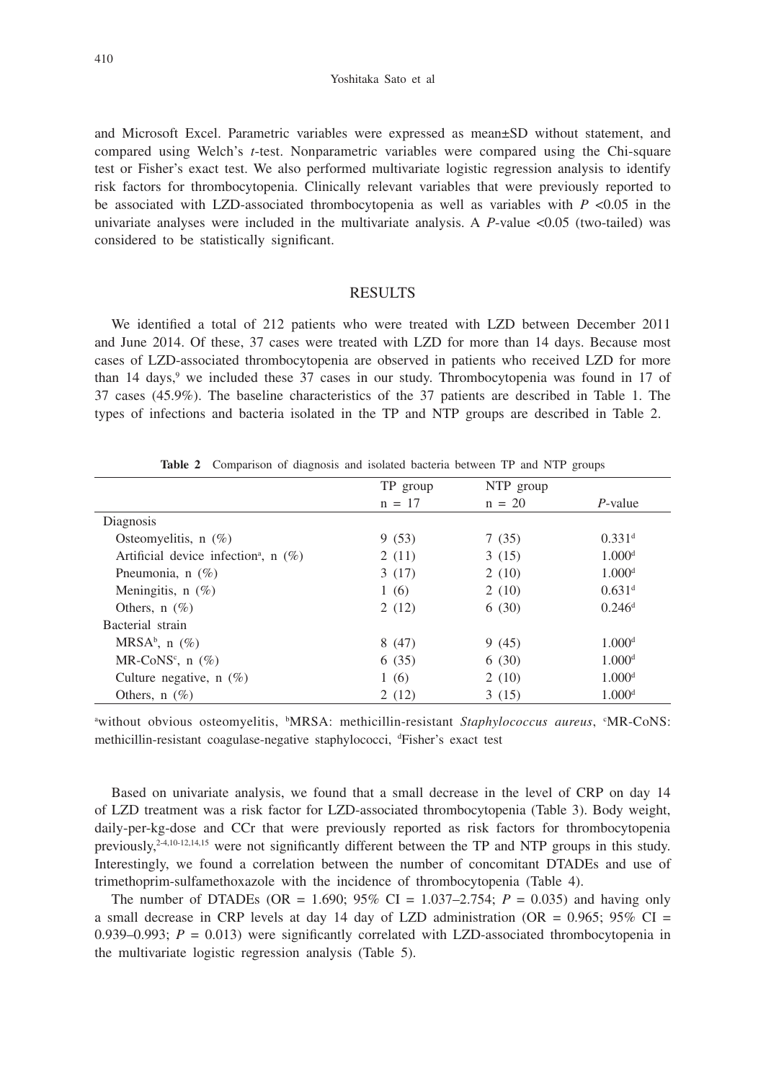Yoshitaka Sato et al

and Microsoft Excel. Parametric variables were expressed as mean±SD without statement, and compared using Welch's *t*-test. Nonparametric variables were compared using the Chi-square test or Fisher's exact test. We also performed multivariate logistic regression analysis to identify risk factors for thrombocytopenia. Clinically relevant variables that were previously reported to be associated with LZD-associated thrombocytopenia as well as variables with  $P < 0.05$  in the univariate analyses were included in the multivariate analysis. A *P*-value <0.05 (two-tailed) was considered to be statistically significant.

# RESULTS

We identified a total of 212 patients who were treated with LZD between December 2011 and June 2014. Of these, 37 cases were treated with LZD for more than 14 days. Because most cases of LZD-associated thrombocytopenia are observed in patients who received LZD for more than 14 days,<sup>9</sup> we included these 37 cases in our study. Thrombocytopenia was found in 17 of 37 cases (45.9%). The baseline characteristics of the 37 patients are described in Table 1. The types of infections and bacteria isolated in the TP and NTP groups are described in Table 2.

|  | <b>Table 2</b> Comparison of diagnosis and isolated bacteria between TP and NTP groups |  |  |  |  |  |
|--|----------------------------------------------------------------------------------------|--|--|--|--|--|
|  |                                                                                        |  |  |  |  |  |

|                                                     | TP group | NTP group |                      |
|-----------------------------------------------------|----------|-----------|----------------------|
|                                                     | $n = 17$ | $n = 20$  | $P$ -value           |
| Diagnosis                                           |          |           |                      |
| Osteomyelitis, $n(\%)$                              | 9(53)    | 7(35)     | $0.331$ <sup>d</sup> |
| Artificial device infection <sup>a</sup> , n $(\%)$ | 2(11)    | 3(15)     | 1.000 <sup>d</sup>   |
| Pneumonia, n $(\%)$                                 | 3(17)    | 2(10)     | 1.000 <sup>d</sup>   |
| Meningitis, $n$ (%)                                 | 1(6)     | 2(10)     | $0.631$ <sup>d</sup> |
| Others, $n(\%)$                                     | 2(12)    | 6(30)     | 0.246 <sup>d</sup>   |
| Bacterial strain                                    |          |           |                      |
| MRSA <sup>b</sup> , n $(\%)$                        | 8(47)    | 9(45)     | 1.000 <sup>d</sup>   |
| MR-CoNS <sup>c</sup> , n $(\%)$                     | 6(35)    | 6(30)     | 1.000 <sup>d</sup>   |
| Culture negative, $n$ (%)                           | 1(6)     | 2(10)     | 1.000 <sup>d</sup>   |
| Others, $n(\%)$                                     | 2(12)    | 3(15)     | 1.000 <sup>d</sup>   |

a without obvious osteomyelitis, <sup>b</sup>MRSA: methicillin-resistant *Staphylococcus aureus*, <sup>c</sup>MR-CoNS: methicillin-resistant coagulase-negative staphylococci, d Fisher's exact test

Based on univariate analysis, we found that a small decrease in the level of CRP on day 14 of LZD treatment was a risk factor for LZD-associated thrombocytopenia (Table 3). Body weight, daily-per-kg-dose and CCr that were previously reported as risk factors for thrombocytopenia previously,<sup>2-4,10-12,14,15</sup> were not significantly different between the TP and NTP groups in this study. Interestingly, we found a correlation between the number of concomitant DTADEs and use of trimethoprim-sulfamethoxazole with the incidence of thrombocytopenia (Table 4).

The number of DTADEs (OR = 1.690;  $95\%$  CI = 1.037–2.754;  $P = 0.035$ ) and having only a small decrease in CRP levels at day 14 day of LZD administration (OR =  $0.965$ ;  $95\%$  CI = 0.939–0.993;  $P = 0.013$ ) were significantly correlated with LZD-associated thrombocytopenia in the multivariate logistic regression analysis (Table 5).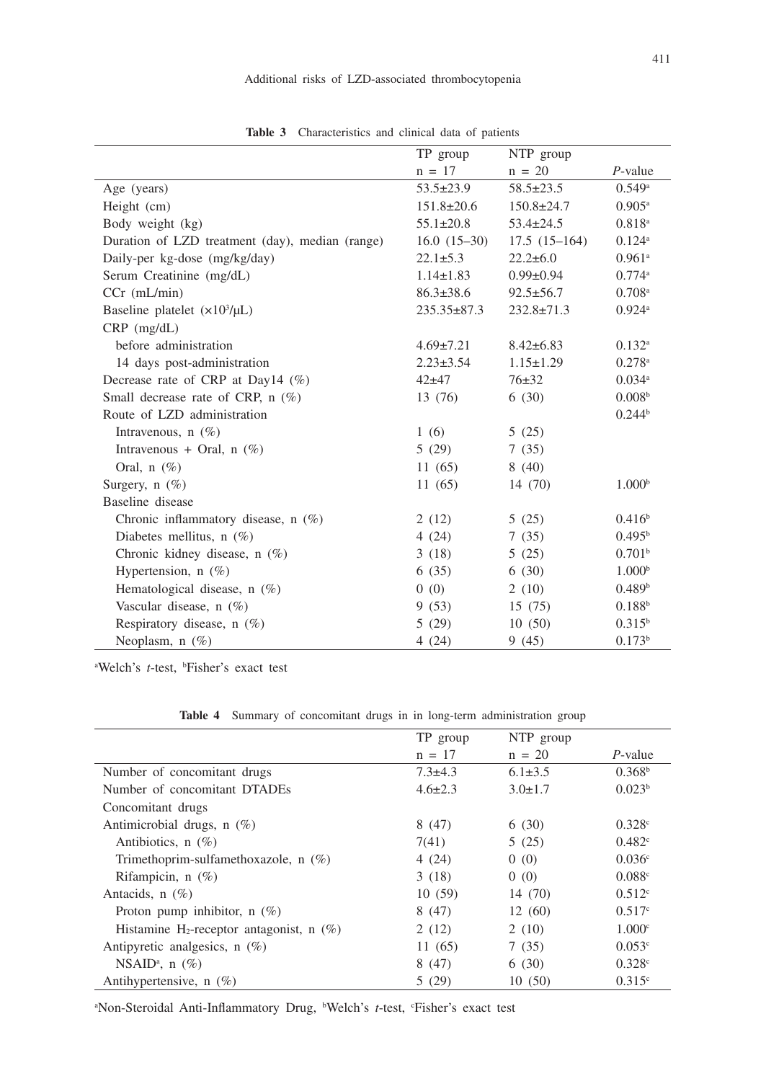|                                                 | TP group          | NTP group        |                      |
|-------------------------------------------------|-------------------|------------------|----------------------|
|                                                 | $n = 17$          | $n = 20$         | $P$ -value           |
| Age (years)                                     | $53.5 \pm 23.9$   | $58.5 \pm 23.5$  | $0.549$ <sup>a</sup> |
| Height (cm)                                     | $151.8 \pm 20.6$  | $150.8 \pm 24.7$ | $0.905^{\rm a}$      |
| Body weight (kg)                                | $55.1 \pm 20.8$   | $53.4 \pm 24.5$  | $0.818^{a}$          |
| Duration of LZD treatment (day), median (range) | $16.0(15-30)$     | $17.5(15-164)$   | $0.124$ <sup>a</sup> |
| Daily-per kg-dose (mg/kg/day)                   | $22.1 \pm 5.3$    | $22.2 \pm 6.0$   | $0.961$ <sup>a</sup> |
| Serum Creatinine (mg/dL)                        | $1.14 \pm 1.83$   | $0.99 \pm 0.94$  | 0.774a               |
| $CCr$ (mL/min)                                  | $86.3 \pm 38.6$   | $92.5 \pm 56.7$  | $0.708$ <sup>a</sup> |
| Baseline platelet $(x10^3/\mu L)$               | $235.35 \pm 87.3$ | $232.8 \pm 71.3$ | $0.924$ <sup>a</sup> |
| $CRP$ (mg/dL)                                   |                   |                  |                      |
| before administration                           | $4.69 \pm 7.21$   | $8.42 \pm 6.83$  | $0.132^{\rm a}$      |
| 14 days post-administration                     | $2.23 \pm 3.54$   | $1.15 \pm 1.29$  | $0.278$ <sup>a</sup> |
| Decrease rate of CRP at Day14 $(\%)$            | $42 + 47$         | $76 \pm 32$      | $0.034$ <sup>a</sup> |
| Small decrease rate of CRP, $n$ (%)             | 13 (76)           | 6(30)            | 0.008 <sup>b</sup>   |
| Route of LZD administration                     |                   |                  | 0.244 <sup>b</sup>   |
| Intravenous, $n(\%)$                            | 1(6)              | 5(25)            |                      |
| Intravenous + Oral, $n$ (%)                     | 5(29)             | 7(35)            |                      |
| Oral, $n$ (%)                                   | 11(65)            | 8(40)            |                      |
| Surgery, $n$ (%)                                | 11(65)            | 14 (70)          | 1.000 <sup>b</sup>   |
| Baseline disease                                |                   |                  |                      |
| Chronic inflammatory disease, $n$ (%)           | 2(12)             | 5(25)            | 0.416 <sup>b</sup>   |
| Diabetes mellitus, $n(\%)$                      | 4(24)             | 7(35)            | $0.495^{\rm b}$      |
| Chronic kidney disease, n (%)                   | 3(18)             | 5(25)            | 0.701 <sup>b</sup>   |
| Hypertension, $n$ (%)                           | 6(35)             | 6(30)            | 1.000 <sup>b</sup>   |
| Hematological disease, n (%)                    | (0)               | 2(10)            | 0.489 <sup>b</sup>   |
| Vascular disease, $n$ (%)                       | 9(53)             | 15(75)           | 0.188 <sup>b</sup>   |
| Respiratory disease, n (%)                      | 5(29)             | 10(50)           | $0.315^{b}$          |
| Neoplasm, $n(\%)$                               | 4(24)             | 9(45)            | 0.173 <sup>b</sup>   |

Table 3 Characteristics and clinical data of patients

<sup>a</sup>Welch's *t*-test, <sup>b</sup>Fisher's exact test

|  |  |  |  | Table 4 Summary of concomitant drugs in in long-term administration group |  |
|--|--|--|--|---------------------------------------------------------------------------|--|
|  |  |  |  |                                                                           |  |

|                                                         | TP group      | NTP group     |                    |
|---------------------------------------------------------|---------------|---------------|--------------------|
|                                                         | $n = 17$      | $n = 20$      | $P$ -value         |
| Number of concomitant drugs                             | $7.3 \pm 4.3$ | $6.1 \pm 3.5$ | 0.368 <sup>b</sup> |
| Number of concomitant DTADEs                            | $4.6 \pm 2.3$ | $3.0 \pm 1.7$ | 0.023 <sup>b</sup> |
| Concomitant drugs                                       |               |               |                    |
| Antimicrobial drugs, $n$ (%)                            | 8(47)         | 6(30)         | 0.328c             |
| Antibiotics, $n(\%)$                                    | 7(41)         | 5(25)         | 0.482c             |
| Trimethoprim-sulfamethoxazole, $n$ (%)                  | 4(24)         | 0(0)          | 0.036c             |
| Rifampicin, $n$ (%)                                     | 3(18)         | 0(0)          | 0.088c             |
| Antacids, $n$ (%)                                       | 10(59)        | 14 (70)       | $0.512^{\circ}$    |
| Proton pump inhibitor, $n$ (%)                          | 8(47)         | 12(60)        | 0.517c             |
| Histamine H <sub>2</sub> -receptor antagonist, n $(\%)$ | 2(12)         | 2(10)         | 1.000c             |
| Antipyretic analgesics, $n$ (%)                         | 11(65)        | 7(35)         | 0.053c             |
| NSAID <sup>a</sup> , n $(\%)$                           | 8(47)         | 6(30)         | 0.328c             |
| Antihypertensive, $n(\%)$                               | 5(29)         | 10(50)        | 0.315c             |

<sup>a</sup>Non-Steroidal Anti-Inflammatory Drug, <sup>b</sup>Welch's *t*-test, <sup>c</sup>Fisher's exact test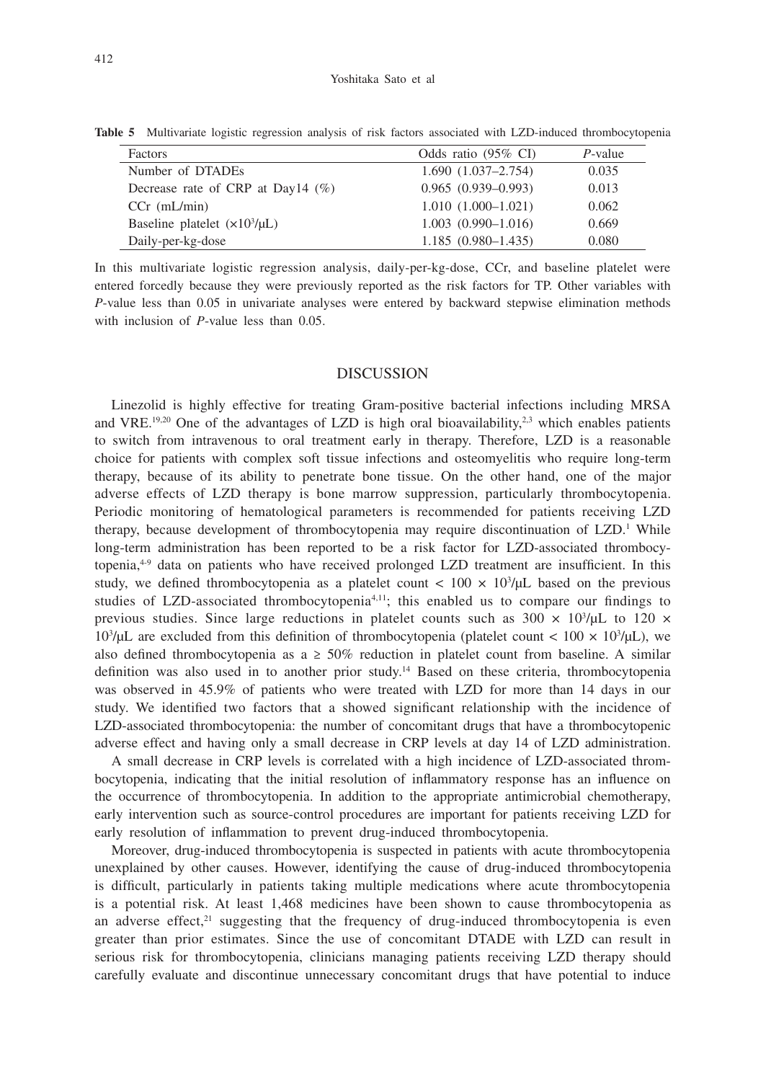| Factors                                 | Odds ratio $(95\% \text{ CI})$ | $P$ -value |
|-----------------------------------------|--------------------------------|------------|
| Number of DTADEs                        | $1.690(1.037-2.754)$           | 0.035      |
| Decrease rate of CRP at Day14 $(\%)$    | $0.965(0.939-0.993)$           | 0.013      |
| $CCr$ (mL/min)                          | $1.010(1.000-1.021)$           | 0.062      |
| Baseline platelet $(\times 10^3/\mu L)$ | $1.003(0.990 - 1.016)$         | 0.669      |
| Daily-per-kg-dose                       | $1.185(0.980-1.435)$           | 0.080      |

**Table 5** Multivariate logistic regression analysis of risk factors associated with LZD-induced thrombocytopenia

In this multivariate logistic regression analysis, daily-per-kg-dose, CCr, and baseline platelet were entered forcedly because they were previously reported as the risk factors for TP. Other variables with *P*-value less than 0.05 in univariate analyses were entered by backward stepwise elimination methods with inclusion of *P*-value less than 0.05.

### DISCUSSION

Linezolid is highly effective for treating Gram-positive bacterial infections including MRSA and VRE.<sup>19,20</sup> One of the advantages of LZD is high oral bioavailability,<sup>2,3</sup> which enables patients to switch from intravenous to oral treatment early in therapy. Therefore, LZD is a reasonable choice for patients with complex soft tissue infections and osteomyelitis who require long-term therapy, because of its ability to penetrate bone tissue. On the other hand, one of the major adverse effects of LZD therapy is bone marrow suppression, particularly thrombocytopenia. Periodic monitoring of hematological parameters is recommended for patients receiving LZD therapy, because development of thrombocytopenia may require discontinuation of LZD.<sup>1</sup> While long-term administration has been reported to be a risk factor for LZD-associated thrombocytopenia,4-9 data on patients who have received prolonged LZD treatment are insufficient. In this study, we defined thrombocytopenia as a platelet count  $< 100 \times 10^{3}/\mu$ L based on the previous studies of LZD-associated thrombocytopenia4,11; this enabled us to compare our findings to previous studies. Since large reductions in platelet counts such as  $300 \times 10^3/\mu$ L to 120  $\times$  $10^3$ /μL are excluded from this definition of thrombocytopenia (platelet count <  $100 \times 10^3$ /μL), we also defined thrombocytopenia as a  $\geq 50\%$  reduction in platelet count from baseline. A similar definition was also used in to another prior study.14 Based on these criteria, thrombocytopenia was observed in 45.9% of patients who were treated with LZD for more than 14 days in our study. We identified two factors that a showed significant relationship with the incidence of LZD-associated thrombocytopenia: the number of concomitant drugs that have a thrombocytopenic adverse effect and having only a small decrease in CRP levels at day 14 of LZD administration.

A small decrease in CRP levels is correlated with a high incidence of LZD-associated thrombocytopenia, indicating that the initial resolution of inflammatory response has an influence on the occurrence of thrombocytopenia. In addition to the appropriate antimicrobial chemotherapy, early intervention such as source-control procedures are important for patients receiving LZD for early resolution of inflammation to prevent drug-induced thrombocytopenia.

Moreover, drug-induced thrombocytopenia is suspected in patients with acute thrombocytopenia unexplained by other causes. However, identifying the cause of drug-induced thrombocytopenia is difficult, particularly in patients taking multiple medications where acute thrombocytopenia is a potential risk. At least 1,468 medicines have been shown to cause thrombocytopenia as an adverse effect, $21$  suggesting that the frequency of drug-induced thrombocytopenia is even greater than prior estimates. Since the use of concomitant DTADE with LZD can result in serious risk for thrombocytopenia, clinicians managing patients receiving LZD therapy should carefully evaluate and discontinue unnecessary concomitant drugs that have potential to induce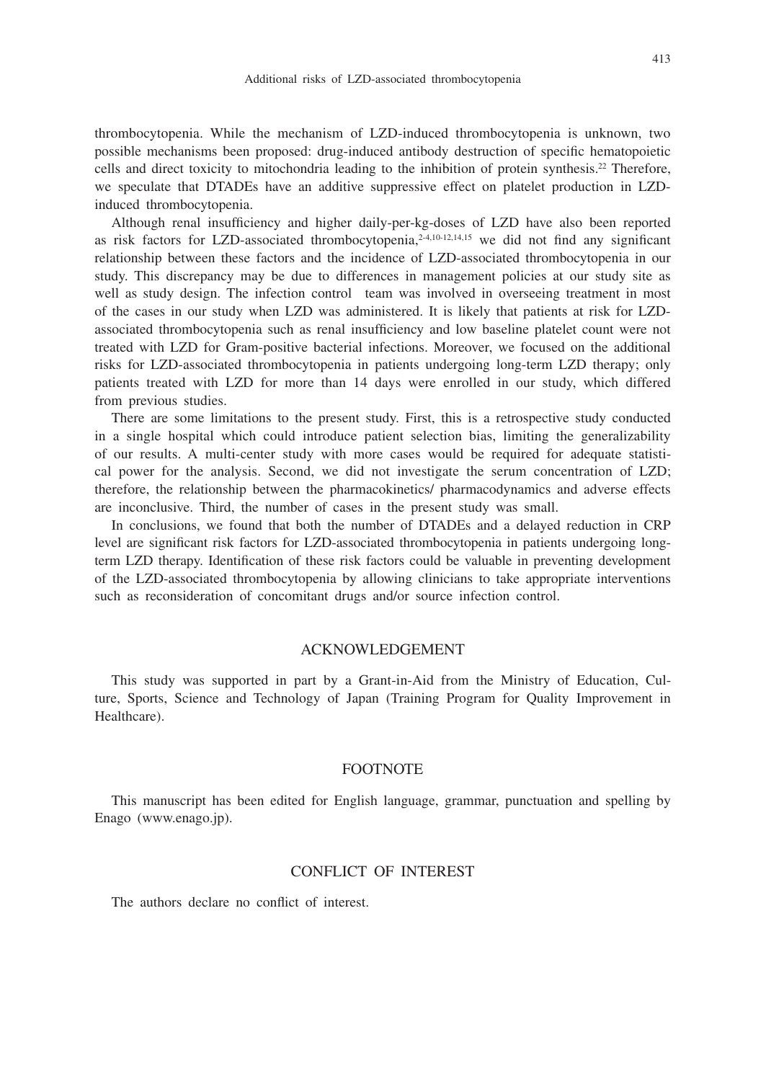thrombocytopenia. While the mechanism of LZD-induced thrombocytopenia is unknown, two possible mechanisms been proposed: drug-induced antibody destruction of specific hematopoietic cells and direct toxicity to mitochondria leading to the inhibition of protein synthesis.22 Therefore, we speculate that DTADEs have an additive suppressive effect on platelet production in LZDinduced thrombocytopenia.

Although renal insufficiency and higher daily-per-kg-doses of LZD have also been reported as risk factors for LZD-associated thrombocytopenia,2-4,10-12,14,15 we did not find any significant relationship between these factors and the incidence of LZD-associated thrombocytopenia in our study. This discrepancy may be due to differences in management policies at our study site as well as study design. The infection control team was involved in overseeing treatment in most of the cases in our study when LZD was administered. It is likely that patients at risk for LZDassociated thrombocytopenia such as renal insufficiency and low baseline platelet count were not treated with LZD for Gram-positive bacterial infections. Moreover, we focused on the additional risks for LZD-associated thrombocytopenia in patients undergoing long-term LZD therapy; only patients treated with LZD for more than 14 days were enrolled in our study, which differed from previous studies.

There are some limitations to the present study. First, this is a retrospective study conducted in a single hospital which could introduce patient selection bias, limiting the generalizability of our results. A multi-center study with more cases would be required for adequate statistical power for the analysis. Second, we did not investigate the serum concentration of LZD; therefore, the relationship between the pharmacokinetics/ pharmacodynamics and adverse effects are inconclusive. Third, the number of cases in the present study was small.

In conclusions, we found that both the number of DTADEs and a delayed reduction in CRP level are significant risk factors for LZD-associated thrombocytopenia in patients undergoing longterm LZD therapy. Identification of these risk factors could be valuable in preventing development of the LZD-associated thrombocytopenia by allowing clinicians to take appropriate interventions such as reconsideration of concomitant drugs and/or source infection control.

# ACKNOWLEDGEMENT

This study was supported in part by a Grant-in-Aid from the Ministry of Education, Culture, Sports, Science and Technology of Japan (Training Program for Quality Improvement in Healthcare).

## **FOOTNOTE**

This manuscript has been edited for English language, grammar, punctuation and spelling by Enago (www.enago.jp).

# CONFLICT OF INTEREST

The authors declare no conflict of interest.